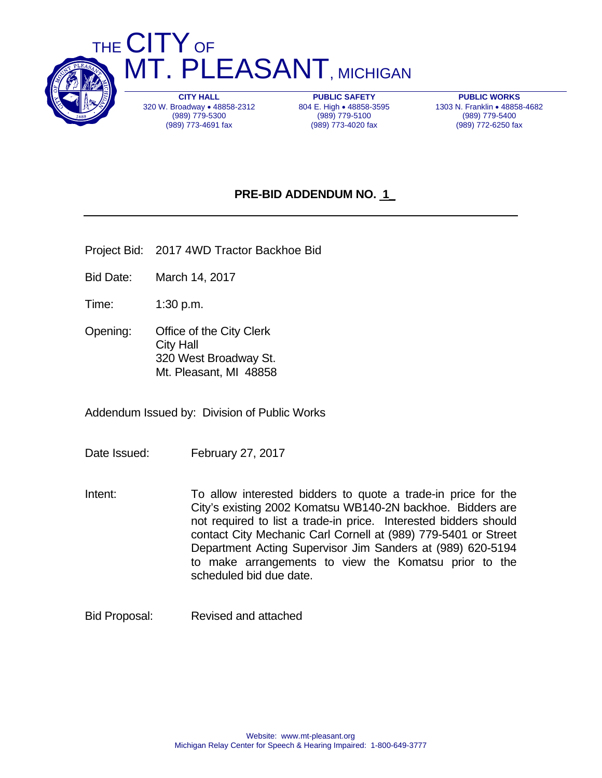

THE CITY OF **MT. PLEASANT, MICHIGAN** 

> **CITY HALL**  320 W. Broadway . 48858-2312 (989) 779-5300 (989) 773-4691 fax

**PUBLIC SAFETY**  804 E. High . 48858-3595 (989) 779-5100 (989) 773-4020 fax

**PUBLIC WORKS**  1303 N. Franklin • 48858-4682 (989) 779-5400 (989) 772-6250 fax

## **PRE-BID ADDENDUM NO. 1\_**

- Project Bid: 2017 4WD Tractor Backhoe Bid
- Bid Date: March 14, 2017
- Time: 1:30 p.m.
- Opening: Office of the City Clerk City Hall 320 West Broadway St. Mt. Pleasant, MI 48858

Addendum Issued by: Division of Public Works

- Date Issued: February 27, 2017
- Intent: To allow interested bidders to quote a trade-in price for the City's existing 2002 Komatsu WB140-2N backhoe. Bidders are not required to list a trade-in price. Interested bidders should contact City Mechanic Carl Cornell at (989) 779-5401 or Street Department Acting Supervisor Jim Sanders at (989) 620-5194 to make arrangements to view the Komatsu prior to the scheduled bid due date.
- Bid Proposal: Revised and attached